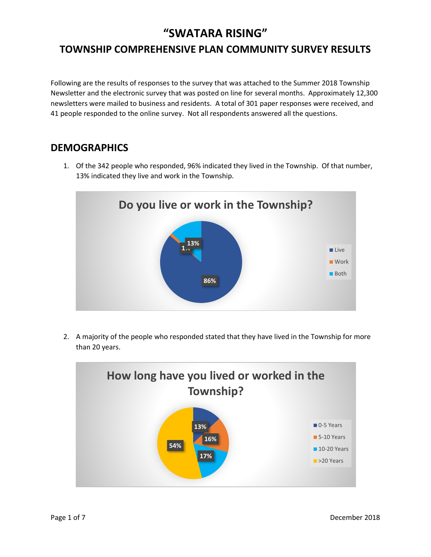## **"SWATARA RISING"**

# **TOWNSHIP COMPREHENSIVE PLAN COMMUNITY SURVEY RESULTS**

Following are the results of responses to the survey that was attached to the Summer 2018 Township Newsletter and the electronic survey that was posted on line for several months. Approximately 12,300 newsletters were mailed to business and residents. A total of 301 paper responses were received, and 41 people responded to the online survey. Not all respondents answered all the questions.

#### **DEMOGRAPHICS**

1. Of the 342 people who responded, 96% indicated they lived in the Township. Of that number, 13% indicated they live and work in the Township.



2. A majority of the people who responded stated that they have lived in the Township for more than 20 years.

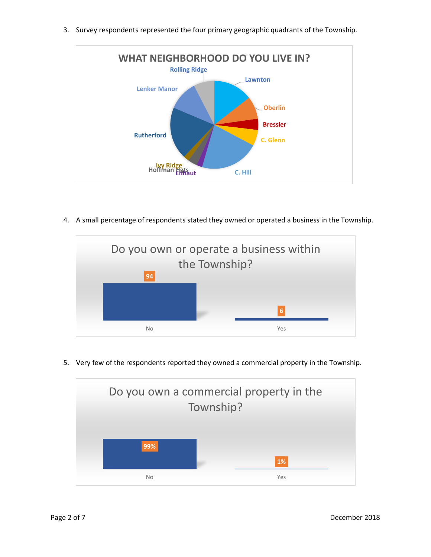3. Survey respondents represented the four primary geographic quadrants of the Township.



4. A small percentage of respondents stated they owned or operated a business in the Township.



5. Very few of the respondents reported they owned a commercial property in the Township.

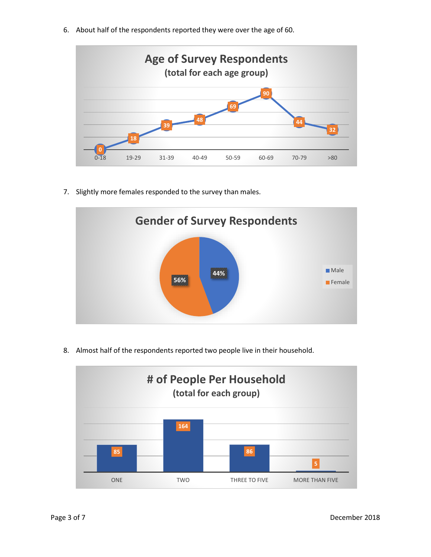6. About half of the respondents reported they were over the age of 60.



7. Slightly more females responded to the survey than males.



8. Almost half of the respondents reported two people live in their household.

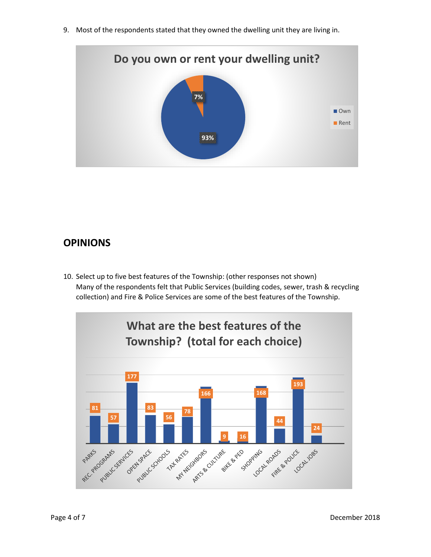9. Most of the respondents stated that they owned the dwelling unit they are living in.



### **OPINIONS**

10. Select up to five best features of the Township: (other responses not shown) Many of the respondents felt that Public Services (building codes, sewer, trash & recycling collection) and Fire & Police Services are some of the best features of the Township.

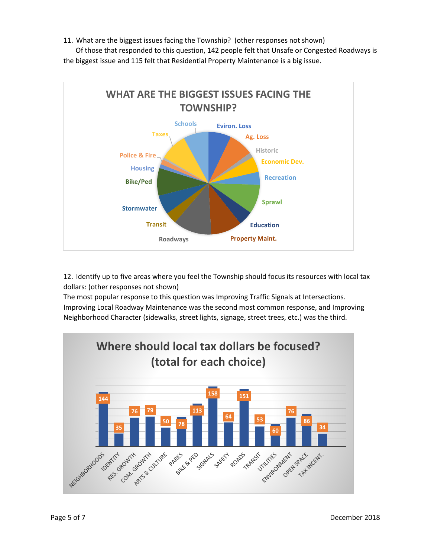11. What are the biggest issues facing the Township? (other responses not shown)

 Of those that responded to this question, 142 people felt that Unsafe or Congested Roadways is the biggest issue and 115 felt that Residential Property Maintenance is a big issue.



12. Identify up to five areas where you feel the Township should focus its resources with local tax dollars: (other responses not shown)

The most popular response to this question was Improving Traffic Signals at Intersections. Improving Local Roadway Maintenance was the second most common response, and Improving Neighborhood Character (sidewalks, street lights, signage, street trees, etc.) was the third.

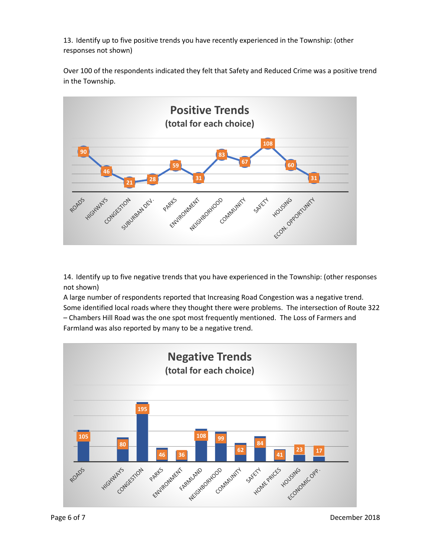13. Identify up to five positive trends you have recently experienced in the Township: (other responses not shown)

Over 100 of the respondents indicated they felt that Safety and Reduced Crime was a positive trend in the Township.



14. Identify up to five negative trends that you have experienced in the Township: (other responses not shown)

A large number of respondents reported that Increasing Road Congestion was a negative trend. Some identified local roads where they thought there were problems. The intersection of Route 322 – Chambers Hill Road was the one spot most frequently mentioned. The Loss of Farmers and Farmland was also reported by many to be a negative trend.